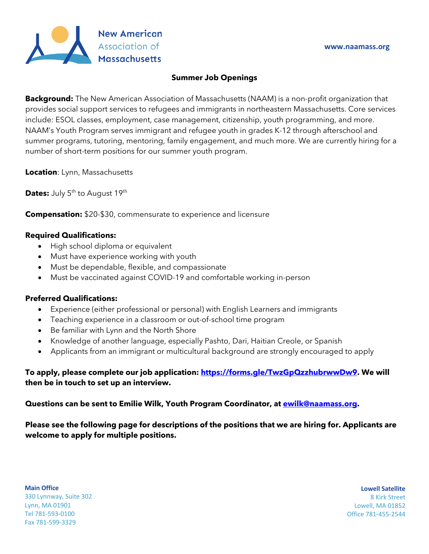

## **Summer Job Openings**

**Background:** The New American Association of Massachusetts (NAAM) is a non-profit organization that provides social support services to refugees and immigrants in northeastern Massachusetts. Core services include: ESOL classes, employment, case management, citizenship, youth programming, and more. NAAM's Youth Program serves immigrant and refugee youth in grades K-12 through afterschool and summer programs, tutoring, mentoring, family engagement, and much more. We are currently hiring for a number of short-term positions for our summer youth program.

**Location**: Lynn, Massachusetts

**Dates:** July 5<sup>th</sup> to August 19<sup>th</sup>

**Compensation:** \$20-\$30, commensurate to experience and licensure

# **Required Qualifications:**

- High school diploma or equivalent
- Must have experience working with youth
- Must be dependable, flexible, and compassionate
- Must be vaccinated against COVID-19 and comfortable working in-person

# **Preferred Qualifications:**

- Experience (either professional or personal) with English Learners and immigrants
- Teaching experience in a classroom or out-of-school time program
- Be familiar with Lynn and the North Shore
- Knowledge of another language, especially Pashto, Dari, Haitian Creole, or Spanish
- Applicants from an immigrant or multicultural background are strongly encouraged to apply

# **To apply, please complete our job application: https://forms.gle/TwzGpQzzhubrwwDw9. We will then be in touch to set up an interview.**

## **Questions can be sent to Emilie Wilk, Youth Program Coordinator, at ewilk@naamass.org.**

**Please see the following page for descriptions of the positions that we are hiring for. Applicants are welcome to apply for multiple positions.** 

**Main Office** 330 Lynnway, Suite 302 Lynn, MA 01901 Tel 781-593-0100 Fax 781-599-3329

**Lowell Satellite** 8 Kirk Street Lowell, MA 01852 Office 781-455-2544